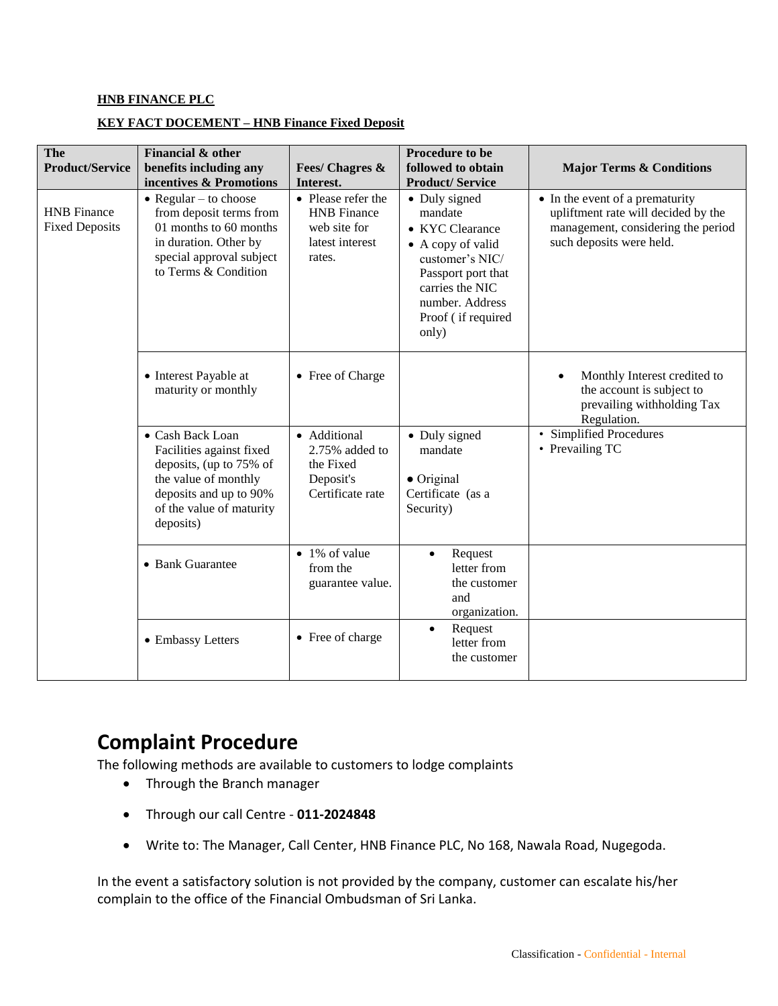## **HNB FINANCE PLC**

## **KEY FACT DOCEMENT – HNB Finance Fixed Deposit**

| The<br><b>Product/Service</b>               | Financial & other<br>benefits including any<br>incentives & Promotions                                                                                             | <b>Fees/ Chagres &amp;</b><br>Interest.                                               | Procedure to be<br>followed to obtain<br><b>Product/Service</b>                                                                                                                        | <b>Major Terms &amp; Conditions</b>                                                                                                      |
|---------------------------------------------|--------------------------------------------------------------------------------------------------------------------------------------------------------------------|---------------------------------------------------------------------------------------|----------------------------------------------------------------------------------------------------------------------------------------------------------------------------------------|------------------------------------------------------------------------------------------------------------------------------------------|
| <b>HNB</b> Finance<br><b>Fixed Deposits</b> | $\bullet$ Regular – to choose<br>from deposit terms from<br>01 months to 60 months<br>in duration. Other by<br>special approval subject<br>to Terms $\&$ Condition | • Please refer the<br><b>HNB</b> Finance<br>web site for<br>latest interest<br>rates. | • Duly signed<br>mandate<br>• KYC Clearance<br>$\bullet$ A copy of valid<br>customer's NIC/<br>Passport port that<br>carries the NIC<br>number. Address<br>Proof (if required<br>only) | • In the event of a prematurity<br>upliftment rate will decided by the<br>management, considering the period<br>such deposits were held. |
|                                             | • Interest Payable at<br>maturity or monthly                                                                                                                       | • Free of Charge                                                                      |                                                                                                                                                                                        | Monthly Interest credited to<br>the account is subject to<br>prevailing withholding Tax<br>Regulation.                                   |
|                                             | • Cash Back Loan<br>Facilities against fixed<br>deposits, (up to 75% of<br>the value of monthly<br>deposits and up to 90%<br>of the value of maturity<br>deposits) | • Additional<br>2.75% added to<br>the Fixed<br>Deposit's<br>Certificate rate          | • Duly signed<br>mandate<br>$\bullet$ Original<br>Certificate (as a<br>Security)                                                                                                       | • Simplified Procedures<br>• Prevailing TC                                                                                               |
|                                             | • Bank Guarantee                                                                                                                                                   | $\bullet$ 1% of value<br>from the<br>guarantee value.                                 | Request<br>$\bullet$<br>letter from<br>the customer<br>and<br>organization.                                                                                                            |                                                                                                                                          |
|                                             | • Embassy Letters                                                                                                                                                  | • Free of charge                                                                      | Request<br>$\bullet$<br>letter from<br>the customer                                                                                                                                    |                                                                                                                                          |

## **Complaint Procedure**

The following methods are available to customers to lodge complaints

- Through the Branch manager
- Through our call Centre **011-2024848**
- Write to: The Manager, Call Center, HNB Finance PLC, No 168, Nawala Road, Nugegoda.

In the event a satisfactory solution is not provided by the company, customer can escalate his/her complain to the office of the Financial Ombudsman of Sri Lanka.